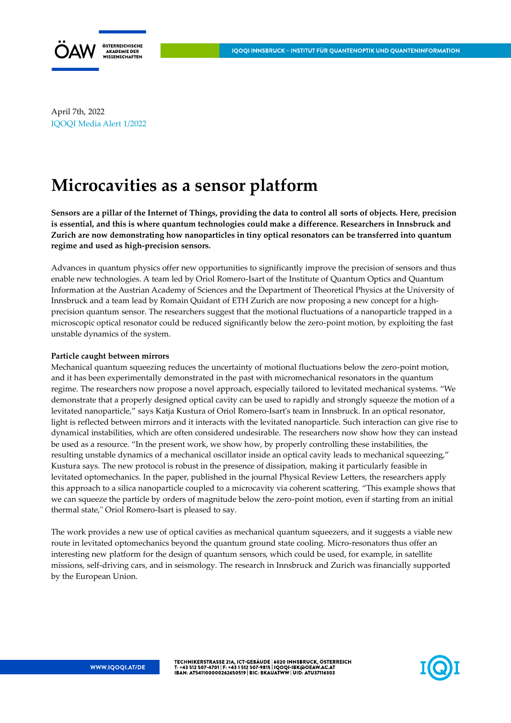

April 7th, 2022 IQOQI Media Alert 1/2022

## **Microcavities as a sensor platform**

**Sensors are a pillar of the Internet of Things, providing the data to control all sorts of objects. Here, precision is essential, and this is where quantum technologies could make a difference. Researchers in Innsbruck and Zurich are now demonstrating how nanoparticles in tiny optical resonators can be transferred into quantum regime and used as high-precision sensors.**

Advances in quantum physics offer new opportunities to significantly improve the precision of sensors and thus enable new technologies. A team led by Oriol Romero-Isart of the Institute of Quantum Optics and Quantum Information at the Austrian Academy of Sciences and the Department of Theoretical Physics at the University of Innsbruck and a team lead by Romain Quidant of ETH Zurich are now proposing a new concept for a highprecision quantum sensor. The researchers suggest that the motional fluctuations of a nanoparticle trapped in a microscopic optical resonator could be reduced significantly below the zero-point motion, by exploiting the fast unstable dynamics of the system.

## **Particle caught between mirrors**

Mechanical quantum squeezing reduces the uncertainty of motional fluctuations below the zero-point motion, and it has been experimentally demonstrated in the past with micromechanical resonators in the quantum regime. The researchers now propose a novel approach, especially tailored to levitated mechanical systems. "We demonstrate that a properly designed optical cavity can be used to rapidly and strongly squeeze the motion of a levitated nanoparticle," says Katja Kustura of Oriol Romero-Isart's team in Innsbruck. In an optical resonator, light is reflected between mirrors and it interacts with the levitated nanoparticle. Such interaction can give rise to dynamical instabilities, which are often considered undesirable. The researchers now show how they can instead be used as a resource. "In the present work, we show how, by properly controlling these instabilities, the resulting unstable dynamics of a mechanical oscillator inside an optical cavity leads to mechanical squeezing," Kustura says. The new protocol is robust in the presence of dissipation, making it particularly feasible in levitated optomechanics. In the paper, published in the journal Physical Review Letters, the researchers apply this approach to a silica nanoparticle coupled to a microcavity via coherent scattering. "This example shows that we can squeeze the particle by orders of magnitude below the zero-point motion, even if starting from an initial thermal state," Oriol Romero-Isart is pleased to say.

The work provides a new use of optical cavities as mechanical quantum squeezers, and it suggests a viable new route in levitated optomechanics beyond the quantum ground state cooling. Micro-resonators thus offer an interesting new platform for the design of quantum sensors, which could be used, for example, in satellite missions, self-driving cars, and in seismology. The research in Innsbruck and Zurich was financially supported by the European Union.

TECHNIKERSTRASSE 21A, ICT-GEBÄUDE | 6020 INNSBRUCK, ÖSTERREICH<br>T: +43 512 507-4701 | F: +43 1 512 507-9815 | IQOQI-IBK@OEAW.AC.AT<br>IBAN: AT541100000262650519 | BIC: BKAUATWW | UID: ATU37116303